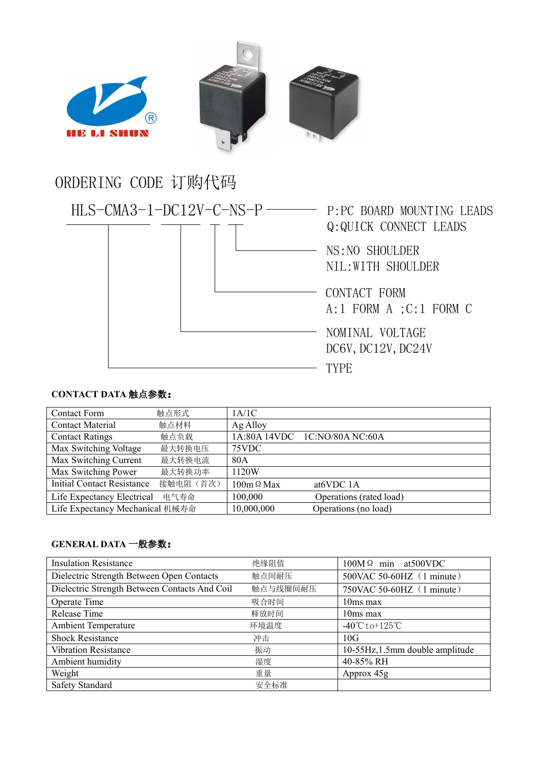

## ORDERING CODE 订购代码



## **CONTACT DATA** 触点参数:

| <b>Contact Form</b>               | 触点形式      | 1A/1C             |                               |
|-----------------------------------|-----------|-------------------|-------------------------------|
| <b>Contact Material</b>           | 触点材料      | Ag Alloy          |                               |
| <b>Contact Ratings</b>            | 触点负载      |                   | 1A:80A 14VDC 1C:NO/80A NC:60A |
| Max Switching Voltage             | 最大转换电压    | 75VDC             |                               |
| Max Switching Current             | 最大转换电流    | 80A               |                               |
| Max Switching Power               | 最大转换功率    | 1120W             |                               |
| <b>Initial Contact Resistance</b> | 接触电阻 (首次) | $100m \Omega$ Max | at <sub>6</sub> VDC 1A        |
| Life Expectancy Electrical        | 电气寿命      | 100,000           | Operations (rated load)       |
| Life Expectancy Mechanical 机械寿命   |           | 10,000,000        | Operations (no load)          |

## **GENERAL DATA** 一般参数:

| <b>Insulation Resistance</b>                  | 绝缘阻值     | $100M\Omega$ min at 500 VDC        |  |
|-----------------------------------------------|----------|------------------------------------|--|
| Dielectric Strength Between Open Contacts     | 触点间耐压    | 500VAC 50-60HZ (1 minute)          |  |
| Dielectric Strength Between Contacts And Coil | 触点与线圈间耐压 | 750VAC 50-60HZ (1 minute)          |  |
| Operate Time                                  | 吸合时间     | $10ms$ max                         |  |
| Release Time                                  | 释放时间     | $10ms$ max                         |  |
| <b>Ambient Temperature</b>                    | 环境温度     | $-40^{\circ}$ Cto+125 $^{\circ}$ C |  |
| <b>Shock Resistance</b>                       | 冲击       | 10G                                |  |
| <b>Vibration Resistance</b>                   | 振动       | 10-55Hz, 1.5mm double amplitude    |  |
| Ambient humidity                              | 湿度       | 40-85% RH                          |  |
| Weight                                        | 重量       | Approx 45g                         |  |
| Safety Standard                               | 安全标准     |                                    |  |